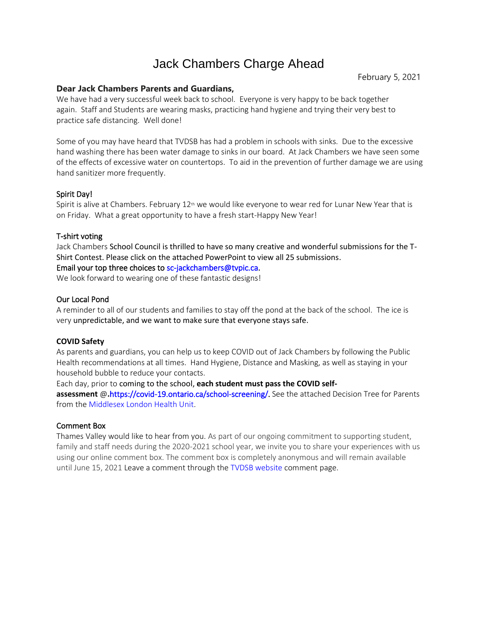# Jack Chambers Charge Ahead

February 5, 2021

## **Dear Jack Chambers Parents and Guardians,**

We have had a very successful week back to school. Everyone is very happy to be back together again. Staff and Students are wearing masks, practicing hand hygiene and trying their very best to practice safe distancing. Well done!

Some of you may have heard that TVDSB has had a problem in schools with sinks. Due to the excessive hand washing there has been water damage to sinks in our board. At Jack Chambers we have seen some of the effects of excessive water on countertops. To aid in the prevention of further damage we are using hand sanitizer more frequently.

### Spirit Day!

Spirit is alive at Chambers. February  $12<sup>th</sup>$  we would like everyone to wear red for Lunar New Year that is on Friday. What a great opportunity to have a fresh start-Happy New Year!

### T-shirt voting

Jack Chambers School Council is thrilled to have so many creative and wonderful submissions for the T-Shirt Contest. Please click on the attached PowerPoint to view all 25 submissions.

### Email your top three choices t[o sc-jackchambers@tvpic.ca.](mailto:sc-jackchambers@tvpic.ca)

We look forward to wearing one of these fantastic designs!

### Our Local Pond

A reminder to all of our students and families to stay off the pond at the back of the school. The ice is very unpredictable, and we want to make sure that everyone stays safe.

#### **COVID Safety**

As parents and guardians, you can help us to keep COVID out of Jack Chambers by following the Public Health recommendations at all times. Hand Hygiene, Distance and Masking, as well as staying in your household bubble to reduce your contacts.

Each day, prior to coming to the school, **each student must pass the COVID self-**

**assessment** @**.**[https://covid-19.ontario.ca/school-screening/.](https://covid-19.ontario.ca/school-screening/) See the attached Decision Tree for Parents from the [Middlesex London Health Unit.](https://www.healthunit.com/covid-19-resources-schools-and-child-care)

#### Comment Box

Thames Valley would like to hear from you. As part of our ongoing commitment to supporting student, family and staff needs during the 2020-2021 school year, we invite you to share your experiences with us using our online comment box. The comment box is completely anonymous and will remain available until June 15, 2021 Leave a comment through the [TVDSB website](https://www.tvdsb.ca/en/our-board/feedback-opportunities.aspx) comment page.